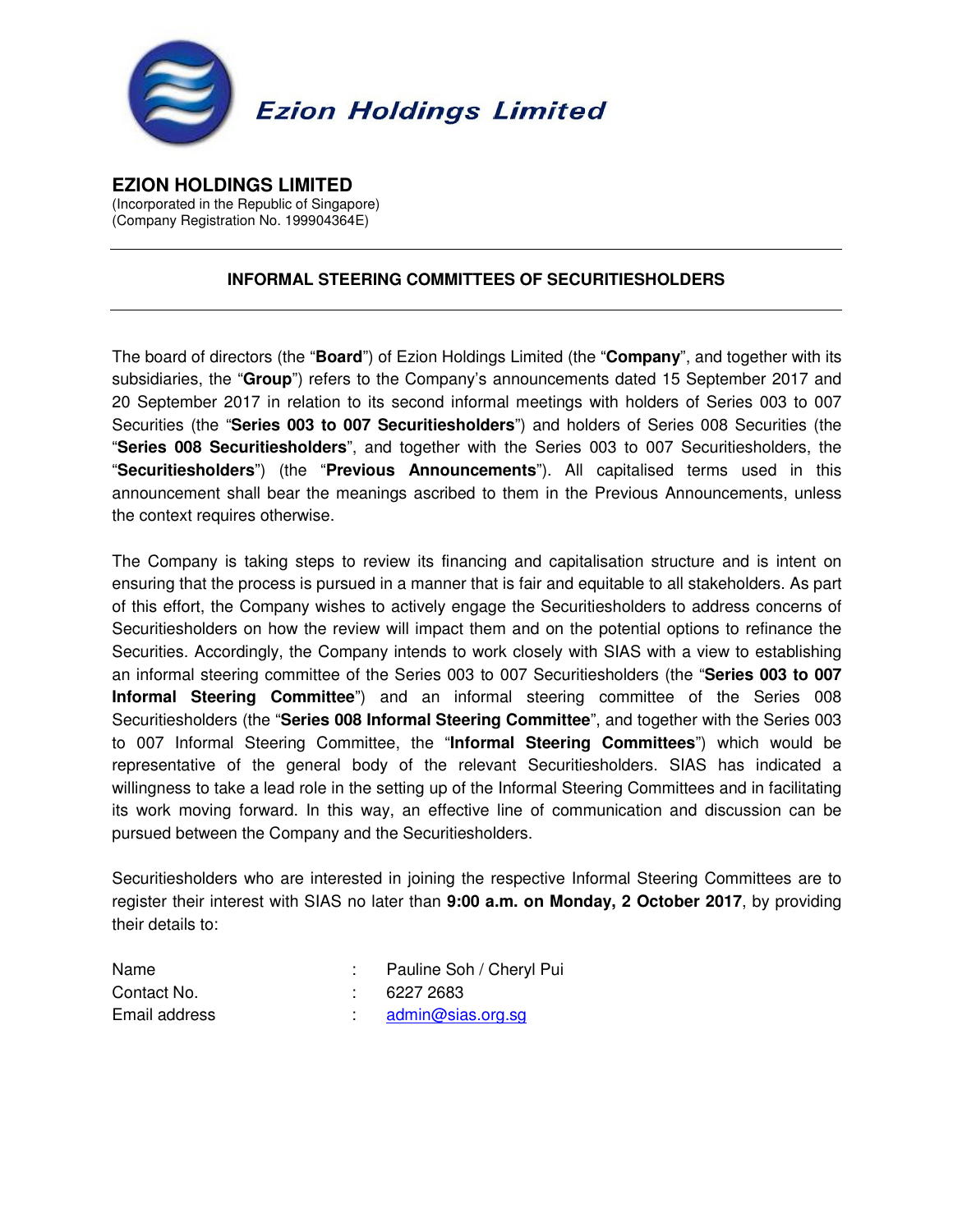

**EZION HOLDINGS LIMITED**  (Incorporated in the Republic of Singapore) (Company Registration No. 199904364E)

## **INFORMAL STEERING COMMITTEES OF SECURITIESHOLDERS**

The board of directors (the "**Board**") of Ezion Holdings Limited (the "**Company**", and together with its subsidiaries, the "**Group**") refers to the Company's announcements dated 15 September 2017 and 20 September 2017 in relation to its second informal meetings with holders of Series 003 to 007 Securities (the "**Series 003 to 007 Securitiesholders**") and holders of Series 008 Securities (the "**Series 008 Securitiesholders**", and together with the Series 003 to 007 Securitiesholders, the "**Securitiesholders**") (the "**Previous Announcements**"). All capitalised terms used in this announcement shall bear the meanings ascribed to them in the Previous Announcements, unless the context requires otherwise.

The Company is taking steps to review its financing and capitalisation structure and is intent on ensuring that the process is pursued in a manner that is fair and equitable to all stakeholders. As part of this effort, the Company wishes to actively engage the Securitiesholders to address concerns of Securitiesholders on how the review will impact them and on the potential options to refinance the Securities. Accordingly, the Company intends to work closely with SIAS with a view to establishing an informal steering committee of the Series 003 to 007 Securitiesholders (the "**Series 003 to 007 Informal Steering Committee**") and an informal steering committee of the Series 008 Securitiesholders (the "**Series 008 Informal Steering Committee**", and together with the Series 003 to 007 Informal Steering Committee, the "**Informal Steering Committees**") which would be representative of the general body of the relevant Securitiesholders. SIAS has indicated a willingness to take a lead role in the setting up of the Informal Steering Committees and in facilitating its work moving forward. In this way, an effective line of communication and discussion can be pursued between the Company and the Securitiesholders.

Securitiesholders who are interested in joining the respective Informal Steering Committees are to register their interest with SIAS no later than **9:00 a.m. on Monday, 2 October 2017**, by providing their details to:

| Name          | Pauline Soh / Cheryl Pui |
|---------------|--------------------------|
| Contact No.   | 6227 2683                |
| Email address | admin@sias.org.sg        |